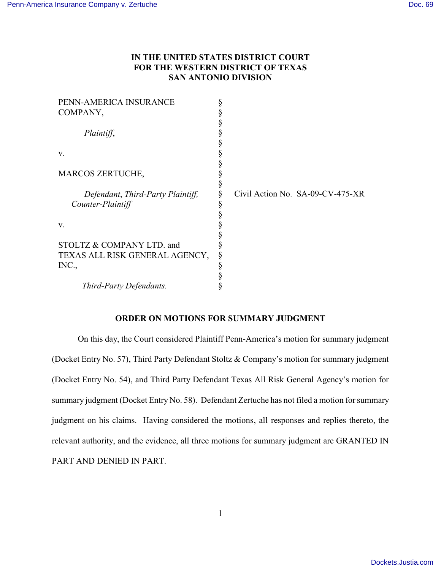# **IN THE UNITED STATES DISTRICT COURT FOR THE WESTERN DISTRICT OF TEXAS SAN ANTONIO DIVISION**

| PENN-AMERICA INSURANCE            |  |                                  |
|-----------------------------------|--|----------------------------------|
| COMPANY,                          |  |                                  |
|                                   |  |                                  |
| Plaintiff,                        |  |                                  |
|                                   |  |                                  |
| V.                                |  |                                  |
|                                   |  |                                  |
| <b>MARCOS ZERTUCHE,</b>           |  |                                  |
|                                   |  |                                  |
| Defendant, Third-Party Plaintiff, |  | Civil Action No. SA-09-CV-475-XR |
| Counter-Plaintiff                 |  |                                  |
|                                   |  |                                  |
| V.                                |  |                                  |
|                                   |  |                                  |
| STOLTZ & COMPANY LTD. and         |  |                                  |
| TEXAS ALL RISK GENERAL AGENCY,    |  |                                  |
| INC.,                             |  |                                  |
|                                   |  |                                  |
| Third-Party Defendants.           |  |                                  |

### **ORDER ON MOTIONS FOR SUMMARY JUDGMENT**

On this day, the Court considered Plaintiff Penn-America's motion for summary judgment (Docket Entry No. 57), Third Party Defendant Stoltz & Company's motion for summary judgment (Docket Entry No. 54), and Third Party Defendant Texas All Risk General Agency's motion for summary judgment (Docket Entry No. 58). Defendant Zertuche has not filed a motion for summary judgment on his claims. Having considered the motions, all responses and replies thereto, the relevant authority, and the evidence, all three motions for summary judgment are GRANTED IN PART AND DENIED IN PART.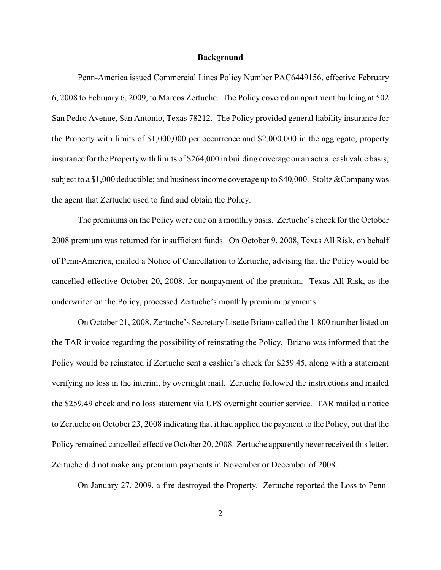#### **Background**

Penn-America issued Commercial Lines Policy Number PAC6449156, effective February 6, 2008 to February 6, 2009, to Marcos Zertuche. The Policy covered an apartment building at 502 San Pedro Avenue, San Antonio, Texas 78212. The Policy provided general liability insurance for the Property with limits of \$1,000,000 per occurrence and \$2,000,000 in the aggregate; property insurance for the Property with limits of \$264,000 in building coverage on an actual cash value basis, subject to a \$1,000 deductible; and business income coverage up to \$40,000. Stoltz & Company was the agent that Zertuche used to find and obtain the Policy.

The premiums on the Policy were due on a monthly basis. Zertuche's check for the October 2008 premium was returned for insufficient funds. On October 9, 2008, Texas All Risk, on behalf of Penn-America, mailed a Notice of Cancellation to Zertuche, advising that the Policy would be cancelled effective October 20, 2008, for nonpayment of the premium. Texas All Risk, as the underwriter on the Policy, processed Zertuche's monthly premium payments.

On October 21, 2008, Zertuche's Secretary Lisette Briano called the 1-800 number listed on the TAR invoice regarding the possibility of reinstating the Policy. Briano was informed that the Policy would be reinstated if Zertuche sent a cashier's check for \$259.45, along with a statement verifying no loss in the interim, by overnight mail. Zertuche followed the instructions and mailed the \$259.49 check and no loss statement via UPS overnight courier service. TAR mailed a notice to Zertuche on October 23, 2008 indicating that it had applied the payment to the Policy, but that the Policy remained cancelled effective October 20, 2008. Zertuche apparently never received this letter. Zertuche did not make any premium payments in November or December of 2008.

On January 27, 2009, a fire destroyed the Property. Zertuche reported the Loss to Penn-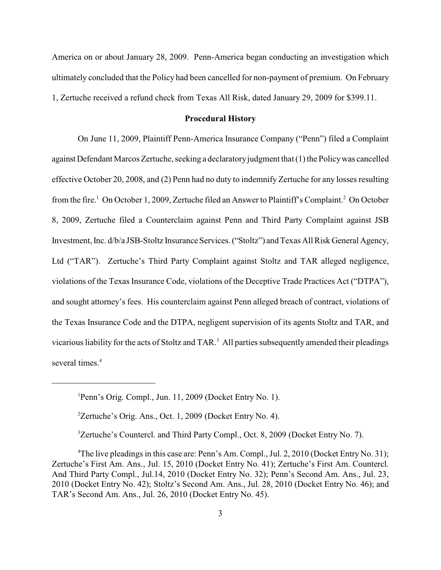America on or about January 28, 2009. Penn-America began conducting an investigation which ultimately concluded that the Policy had been cancelled for non-payment of premium. On February 1, Zertuche received a refund check from Texas All Risk, dated January 29, 2009 for \$399.11.

### **Procedural History**

On June 11, 2009, Plaintiff Penn-America Insurance Company ("Penn") filed a Complaint against Defendant Marcos Zertuche, seeking a declaratory judgment that (1) the Policy was cancelled effective October 20, 2008, and (2) Penn had no duty to indemnify Zertuche for any losses resulting from the fire.<sup>1</sup> On October 1, 2009, Zertuche filed an Answer to Plaintiff's Complaint.<sup>2</sup> On October 8, 2009, Zertuche filed a Counterclaim against Penn and Third Party Complaint against JSB Investment, Inc. d/b/a JSB-Stoltz Insurance Services. ("Stoltz") and Texas All Risk General Agency, Ltd ("TAR"). Zertuche's Third Party Complaint against Stoltz and TAR alleged negligence, violations of the Texas Insurance Code, violations of the Deceptive Trade Practices Act ("DTPA"), and sought attorney's fees. His counterclaim against Penn alleged breach of contract, violations of the Texas Insurance Code and the DTPA, negligent supervision of its agents Stoltz and TAR, and vicarious liability for the acts of Stoltz and TAR. $<sup>3</sup>$  All parties subsequently amended their pleadings</sup> several times.<sup>4</sup>

 ${}^{3}$ Zertuche's Countercl. and Third Party Compl., Oct. 8, 2009 (Docket Entry No. 7).

 $P$ enn's Orig. Compl., Jun. 11, 2009 (Docket Entry No. 1).

 ${}^{2}$ Zertuche's Orig. Ans., Oct. 1, 2009 (Docket Entry No. 4).

<sup>&</sup>lt;sup>4</sup>The live pleadings in this case are: Penn's Am. Compl., Jul. 2, 2010 (Docket Entry No. 31); Zertuche's First Am. Ans., Jul. 15, 2010 (Docket Entry No. 41); Zertuche's First Am. Countercl. And Third Party Compl., Jul.14, 2010 (Docket Entry No. 32); Penn's Second Am. Ans., Jul. 23, 2010 (Docket Entry No. 42); Stoltz's Second Am. Ans., Jul. 28, 2010 (Docket Entry No. 46); and TAR's Second Am. Ans., Jul. 26, 2010 (Docket Entry No. 45).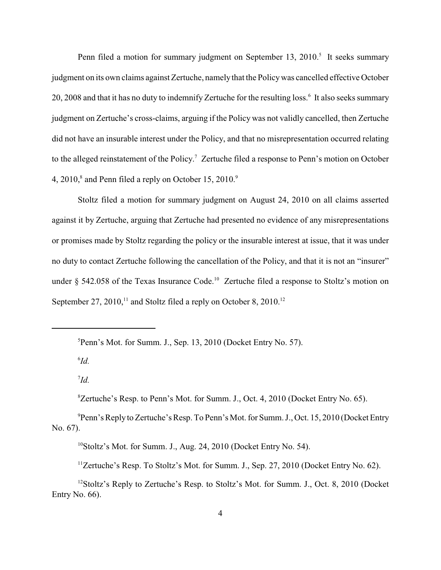Penn filed a motion for summary judgment on September 13, 2010.<sup>5</sup> It seeks summary judgment on its own claims against Zertuche, namelythat the Policy was cancelled effective October 20, 2008 and that it has no duty to indemnify Zertuche for the resulting loss.<sup>6</sup> It also seeks summary judgment on Zertuche's cross-claims, arguing if the Policy was not validly cancelled, then Zertuche did not have an insurable interest under the Policy, and that no misrepresentation occurred relating to the alleged reinstatement of the Policy.<sup>7</sup> Zertuche filed a response to Penn's motion on October 4,  $2010$ ,  $\textdegree$  and Penn filed a reply on October 15,  $2010$ . $\textdegree$ 

Stoltz filed a motion for summary judgment on August 24, 2010 on all claims asserted against it by Zertuche, arguing that Zertuche had presented no evidence of any misrepresentations or promises made by Stoltz regarding the policy or the insurable interest at issue, that it was under no duty to contact Zertuche following the cancellation of the Policy, and that it is not an "insurer" under  $\S$  542.058 of the Texas Insurance Code.<sup>10</sup> Zertuche filed a response to Stoltz's motion on September 27, 2010,<sup>11</sup> and Stoltz filed a reply on October 8, 2010.<sup>12</sup>

 $^{6}Id.$ 

 ${}^{5}$ Penn's Mot. for Summ. J., Sep. 13, 2010 (Docket Entry No. 57).

 $\mathrm{I}d$ .

 ${}^{8}$ Zertuche's Resp. to Penn's Mot. for Summ. J., Oct. 4, 2010 (Docket Entry No. 65).

 $P$ enn's Reply to Zertuche's Resp. To Penn's Mot. for Summ. J., Oct. 15, 2010 (Docket Entry No. 67).

 $^{10}$ Stoltz's Mot. for Summ. J., Aug. 24, 2010 (Docket Entry No. 54).

 $12$ ertuche's Resp. To Stoltz's Mot. for Summ. J., Sep. 27, 2010 (Docket Entry No. 62).

 $12$ Stoltz's Reply to Zertuche's Resp. to Stoltz's Mot. for Summ. J., Oct. 8, 2010 (Docket Entry No. 66).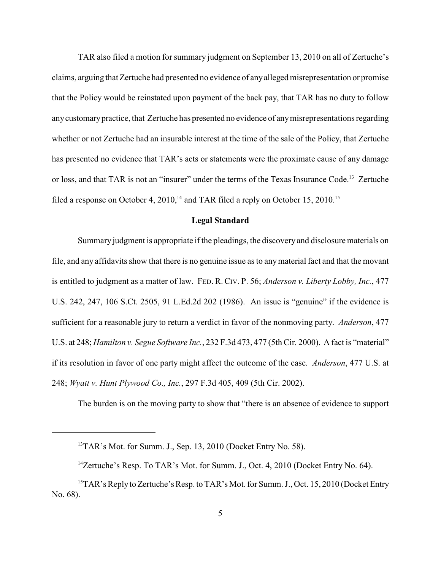TAR also filed a motion for summary judgment on September 13, 2010 on all of Zertuche's claims, arguing that Zertuche had presented no evidence of any alleged misrepresentation or promise that the Policy would be reinstated upon payment of the back pay, that TAR has no duty to follow any customary practice, that Zertuche has presented no evidence of any misrepresentations regarding whether or not Zertuche had an insurable interest at the time of the sale of the Policy, that Zertuche has presented no evidence that TAR's acts or statements were the proximate cause of any damage or loss, and that TAR is not an "insurer" under the terms of the Texas Insurance Code.<sup>13</sup> Zertuche filed a response on October 4, 2010,<sup>14</sup> and TAR filed a reply on October 15, 2010.<sup>15</sup>

#### **Legal Standard**

Summary judgment is appropriate if the pleadings, the discovery and disclosure materials on file, and any affidavits show that there is no genuine issue as to any material fact and that the movant is entitled to judgment as a matter of law. FED. R. CIV. P. 56; *Anderson v. Liberty Lobby, Inc.*, 477 U.S. 242, 247, 106 S.Ct. 2505, 91 L.Ed.2d 202 (1986). An issue is "genuine" if the evidence is sufficient for a reasonable jury to return a verdict in favor of the nonmoving party. *Anderson*, 477 U.S. at 248; *Hamilton v. Segue Software Inc.*, 232 F.3d 473, 477 (5th Cir. 2000). A fact is "material" if its resolution in favor of one party might affect the outcome of the case. *Anderson*, 477 U.S. at 248; *Wyatt v. Hunt Plywood Co., Inc.*, 297 F.3d 405, 409 (5th Cir. 2002).

The burden is on the moving party to show that "there is an absence of evidence to support

 $13$ TAR's Mot. for Summ. J., Sep. 13, 2010 (Docket Entry No. 58).

<sup>&</sup>lt;sup>14</sup>Zertuche's Resp. To TAR's Mot. for Summ. J., Oct. 4, 2010 (Docket Entry No. 64).

<sup>&</sup>lt;sup>15</sup> TAR's Reply to Zertuche's Resp. to TAR's Mot. for Summ. J., Oct. 15, 2010 (Docket Entry No. 68).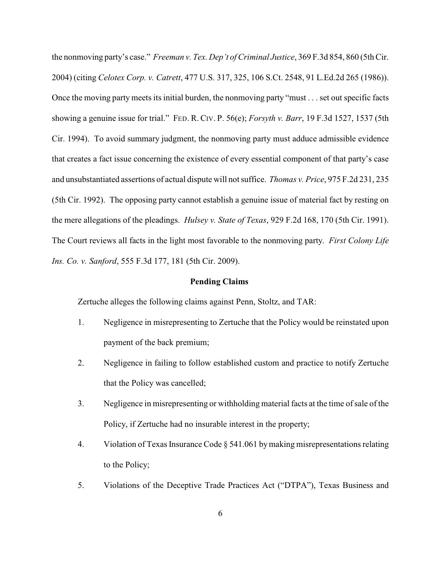the nonmoving party's case." *Freeman v. Tex. Dep't of Criminal Justice*, 369 F.3d 854, 860 (5th Cir. 2004) (citing *Celotex Corp. v. Catrett*, 477 U.S. 317, 325, 106 S.Ct. 2548, 91 L.Ed.2d 265 (1986)). Once the moving party meets its initial burden, the nonmoving party "must . . . set out specific facts showing a genuine issue for trial." FED. R. CIV. P. 56(e); *Forsyth v. Barr*, 19 F.3d 1527, 1537 (5th Cir. 1994). To avoid summary judgment, the nonmoving party must adduce admissible evidence that creates a fact issue concerning the existence of every essential component of that party's case and unsubstantiated assertions of actual dispute will not suffice. *Thomas v. Price*, 975 F.2d 231, 235 (5th Cir. 1992). The opposing party cannot establish a genuine issue of material fact by resting on the mere allegations of the pleadings. *Hulsey v. State of Texas*, 929 F.2d 168, 170 (5th Cir. 1991). The Court reviews all facts in the light most favorable to the nonmoving party. *First Colony Life Ins. Co. v. Sanford*, 555 F.3d 177, 181 (5th Cir. 2009).

#### **Pending Claims**

Zertuche alleges the following claims against Penn, Stoltz, and TAR:

- 1. Negligence in misrepresenting to Zertuche that the Policy would be reinstated upon payment of the back premium;
- 2. Negligence in failing to follow established custom and practice to notify Zertuche that the Policy was cancelled;
- 3. Negligence in misrepresenting or withholding material facts at the time ofsale of the Policy, if Zertuche had no insurable interest in the property;
- 4. Violation of Texas Insurance Code § 541.061 by making misrepresentations relating to the Policy;
- 5. Violations of the Deceptive Trade Practices Act ("DTPA"), Texas Business and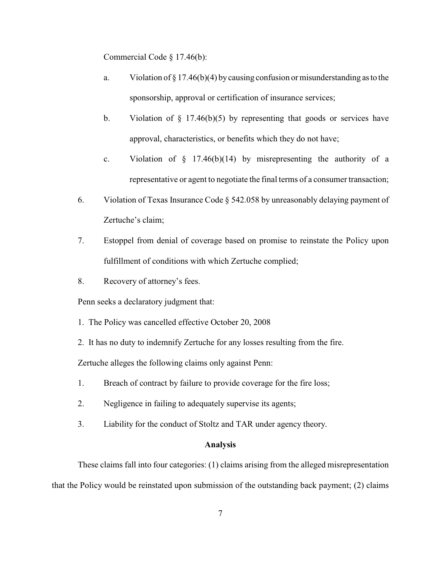Commercial Code § 17.46(b):

- a. Violation of § 17.46(b)(4) by causing confusion or misunderstanding as to the sponsorship, approval or certification of insurance services;
- b. Violation of  $\S$  17.46(b)(5) by representing that goods or services have approval, characteristics, or benefits which they do not have;
- c. Violation of  $\S$  17.46(b)(14) by misrepresenting the authority of a representative or agent to negotiate the final terms of a consumer transaction;
- 6. Violation of Texas Insurance Code § 542.058 by unreasonably delaying payment of Zertuche's claim;
- 7. Estoppel from denial of coverage based on promise to reinstate the Policy upon fulfillment of conditions with which Zertuche complied;
- 8. Recovery of attorney's fees.

Penn seeks a declaratory judgment that:

- 1. The Policy was cancelled effective October 20, 2008
- 2. It has no duty to indemnify Zertuche for any losses resulting from the fire.

Zertuche alleges the following claims only against Penn:

- 1. Breach of contract by failure to provide coverage for the fire loss;
- 2. Negligence in failing to adequately supervise its agents;
- 3. Liability for the conduct of Stoltz and TAR under agency theory.

# **Analysis**

These claims fall into four categories: (1) claims arising from the alleged misrepresentation that the Policy would be reinstated upon submission of the outstanding back payment; (2) claims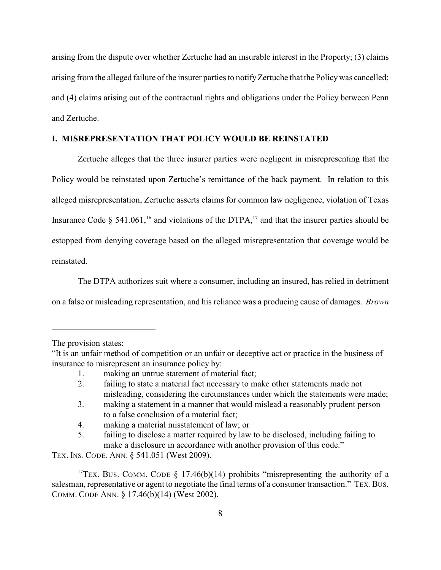arising from the dispute over whether Zertuche had an insurable interest in the Property; (3) claims arising from the alleged failure of the insurer parties to notifyZertuche that the Policywas cancelled; and (4) claims arising out of the contractual rights and obligations under the Policy between Penn and Zertuche.

## **I. MISREPRESENTATION THAT POLICY WOULD BE REINSTATED**

Zertuche alleges that the three insurer parties were negligent in misrepresenting that the Policy would be reinstated upon Zertuche's remittance of the back payment. In relation to this alleged misrepresentation, Zertuche asserts claims for common law negligence, violation of Texas Insurance Code § 541.061,<sup>16</sup> and violations of the DTPA,<sup>17</sup> and that the insurer parties should be estopped from denying coverage based on the alleged misrepresentation that coverage would be reinstated.

The DTPA authorizes suit where a consumer, including an insured, has relied in detriment on a false or misleading representation, and his reliance was a producing cause of damages. *Brown*

<sup>17</sup>TEX. BUS. COMM. CODE § 17.46(b)(14) prohibits "misrepresenting the authority of a salesman, representative or agent to negotiate the final terms of a consumer transaction." TEX, BUS. COMM. CODE ANN. § 17.46(b)(14) (West 2002).

The provision states:

<sup>&</sup>quot;It is an unfair method of competition or an unfair or deceptive act or practice in the business of insurance to misrepresent an insurance policy by:

<sup>1.</sup> making an untrue statement of material fact;

<sup>2.</sup> failing to state a material fact necessary to make other statements made not misleading, considering the circumstances under which the statements were made;

<sup>3.</sup> making a statement in a manner that would mislead a reasonably prudent person to a false conclusion of a material fact;

<sup>4.</sup> making a material misstatement of law; or

<sup>5.</sup> failing to disclose a matter required by law to be disclosed, including failing to make a disclosure in accordance with another provision of this code."

TEX. INS. CODE. ANN. § 541.051 (West 2009).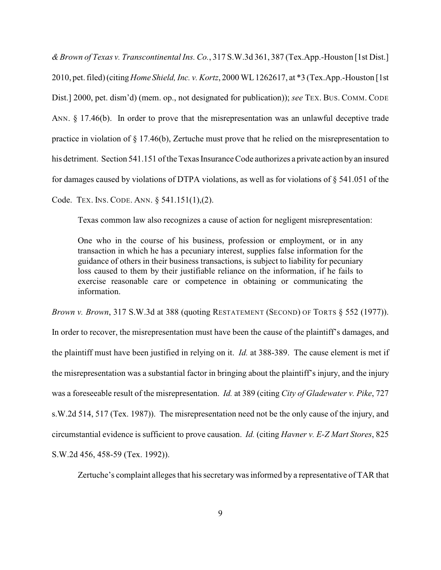*&Brown of Texas v. Transcontinental Ins. Co.*, 317 S.W.3d 361, 387 (Tex.App.-Houston [1st Dist.] 2010, pet. filed) (citing *Home Shield, Inc. v. Kortz*, 2000 WL 1262617, at \*3 (Tex.App.-Houston [1st Dist.] 2000, pet. dism'd) (mem. op., not designated for publication)); *see* TEX. BUS. COMM. CODE ANN. § 17.46(b). In order to prove that the misrepresentation was an unlawful deceptive trade practice in violation of § 17.46(b), Zertuche must prove that he relied on the misrepresentation to his detriment. Section 541.151 of the Texas Insurance Code authorizes a private action by an insured for damages caused by violations of DTPA violations, as well as for violations of  $\S$  541.051 of the Code. TEX. INS. CODE. ANN. § 541.151(1),(2).

Texas common law also recognizes a cause of action for negligent misrepresentation:

One who in the course of his business, profession or employment, or in any transaction in which he has a pecuniary interest, supplies false information for the guidance of others in their business transactions, is subject to liability for pecuniary loss caused to them by their justifiable reliance on the information, if he fails to exercise reasonable care or competence in obtaining or communicating the information.

*Brown v. Brown*, 317 S.W.3d at 388 (quoting RESTATEMENT (SECOND) OF TORTS § 552 (1977)). In order to recover, the misrepresentation must have been the cause of the plaintiff's damages, and the plaintiff must have been justified in relying on it. *Id.* at 388-389. The cause element is met if the misrepresentation was a substantial factor in bringing about the plaintiff's injury, and the injury was a foreseeable result of the misrepresentation. *Id.* at 389 (citing *City of Gladewater v. Pike*, 727 s.W.2d 514, 517 (Tex. 1987)). The misrepresentation need not be the only cause of the injury, and circumstantial evidence is sufficient to prove causation. *Id.* (citing *Havner v. E-Z Mart Stores*, 825 S.W.2d 456, 458-59 (Tex. 1992)).

Zertuche's complaint alleges that his secretary was informed by a representative of TAR that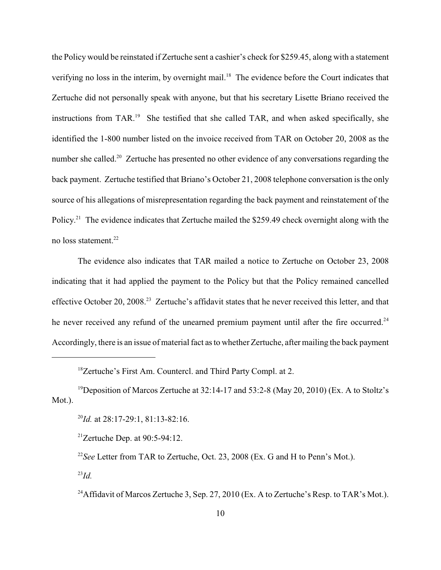the Policy would be reinstated if Zertuche sent a cashier's check for \$259.45, along with a statement verifying no loss in the interim, by overnight mail.<sup>18</sup> The evidence before the Court indicates that Zertuche did not personally speak with anyone, but that his secretary Lisette Briano received the instructions from TAR.<sup>19</sup> She testified that she called TAR, and when asked specifically, she identified the 1-800 number listed on the invoice received from TAR on October 20, 2008 as the number she called.<sup>20</sup> Zertuche has presented no other evidence of any conversations regarding the back payment. Zertuche testified that Briano's October 21, 2008 telephone conversation is the only source of his allegations of misrepresentation regarding the back payment and reinstatement of the Policy.<sup>21</sup> The evidence indicates that Zertuche mailed the \$259.49 check overnight along with the no loss statement.<sup>22</sup>

The evidence also indicates that TAR mailed a notice to Zertuche on October 23, 2008 indicating that it had applied the payment to the Policy but that the Policy remained cancelled effective October 20, 2008.<sup>23</sup> Zertuche's affidavit states that he never received this letter, and that he never received any refund of the unearned premium payment until after the fire occurred.<sup>24</sup> Accordingly, there is an issue of material fact as to whether Zertuche, after mailing the back payment

<sup>20</sup>*Id.* at 28:17-29:1, 81:13-82:16.

<sup>21</sup>Zertuche Dep. at  $90:5-94:12$ .

<sup>22</sup>See Letter from TAR to Zertuche, Oct. 23, 2008 (Ex. G and H to Penn's Mot.).

 $^{23}Id.$ 

<sup>24</sup> Affidavit of Marcos Zertuche 3, Sep. 27, 2010 (Ex. A to Zertuche's Resp. to TAR's Mot.).

 $18$ Zertuche's First Am. Countercl. and Third Party Compl. at 2.

<sup>&</sup>lt;sup>19</sup> Deposition of Marcos Zertuche at 32:14-17 and 53:2-8 (May 20, 2010) (Ex. A to Stoltz's Mot.).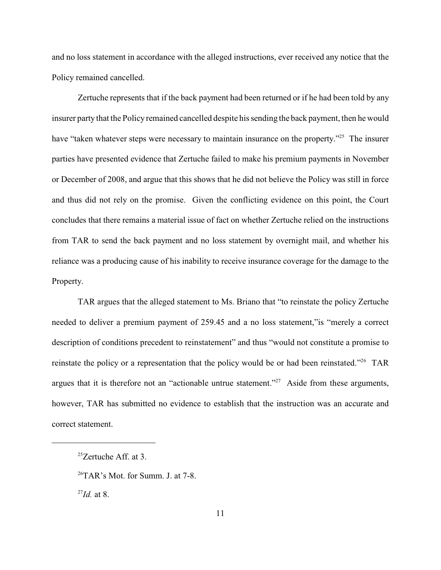and no loss statement in accordance with the alleged instructions, ever received any notice that the Policy remained cancelled.

Zertuche represents that if the back payment had been returned or if he had been told by any insurer party that the Policy remained cancelled despite his sending the back payment, then he would have "taken whatever steps were necessary to maintain insurance on the property."<sup>25</sup> The insurer parties have presented evidence that Zertuche failed to make his premium payments in November or December of 2008, and argue that this shows that he did not believe the Policy was still in force and thus did not rely on the promise. Given the conflicting evidence on this point, the Court concludes that there remains a material issue of fact on whether Zertuche relied on the instructions from TAR to send the back payment and no loss statement by overnight mail, and whether his reliance was a producing cause of his inability to receive insurance coverage for the damage to the Property.

TAR argues that the alleged statement to Ms. Briano that "to reinstate the policy Zertuche needed to deliver a premium payment of 259.45 and a no loss statement,"is "merely a correct description of conditions precedent to reinstatement" and thus "would not constitute a promise to reinstate the policy or a representation that the policy would be or had been reinstated."<sup>26</sup> TAR argues that it is therefore not an "actionable untrue statement."<sup>27</sup> Aside from these arguments, however, TAR has submitted no evidence to establish that the instruction was an accurate and correct statement.

 $^{26}$ TAR's Mot. for Summ. J. at 7-8.

 $^{27}Id$  at 8.

 $25$ Zertuche Aff. at 3.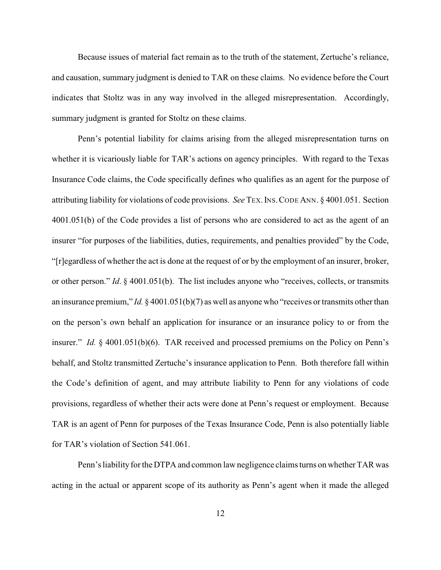Because issues of material fact remain as to the truth of the statement, Zertuche's reliance, and causation, summary judgment is denied to TAR on these claims. No evidence before the Court indicates that Stoltz was in any way involved in the alleged misrepresentation. Accordingly, summary judgment is granted for Stoltz on these claims.

Penn's potential liability for claims arising from the alleged misrepresentation turns on whether it is vicariously liable for TAR's actions on agency principles. With regard to the Texas Insurance Code claims, the Code specifically defines who qualifies as an agent for the purpose of attributing liability for violations of code provisions. *See* TEX.INS.CODE ANN. § 4001.051. Section 4001.051(b) of the Code provides a list of persons who are considered to act as the agent of an insurer "for purposes of the liabilities, duties, requirements, and penalties provided" by the Code, "[r]egardless of whether the act is done at the request of or by the employment of an insurer, broker, or other person." *Id*. § 4001.051(b). The list includes anyone who "receives, collects, or transmits an insurance premium," *Id.* § 4001.051(b)(7) as well as anyone who "receives or transmits other than on the person's own behalf an application for insurance or an insurance policy to or from the insurer." *Id.* § 4001.051(b)(6). TAR received and processed premiums on the Policy on Penn's behalf, and Stoltz transmitted Zertuche's insurance application to Penn. Both therefore fall within the Code's definition of agent, and may attribute liability to Penn for any violations of code provisions, regardless of whether their acts were done at Penn's request or employment. Because TAR is an agent of Penn for purposes of the Texas Insurance Code, Penn is also potentially liable for TAR's violation of Section 541.061.

Penn's liability for the DTPA and common law negligence claims turns on whether TAR was acting in the actual or apparent scope of its authority as Penn's agent when it made the alleged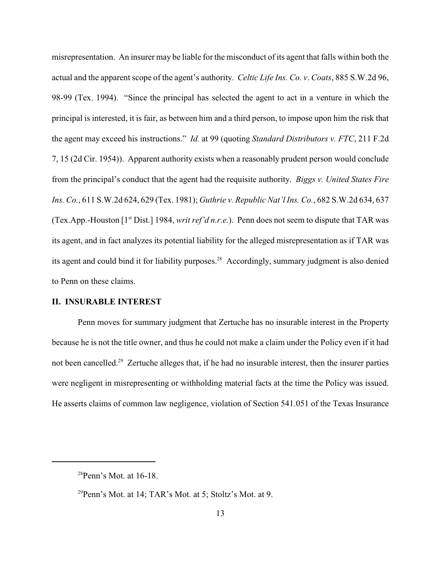misrepresentation. An insurer may be liable for the misconduct of its agent that falls within both the actual and the apparent scope of the agent's authority. *Celtic Life Ins. Co. v*. *Coats*, 885 S.W.2d 96, 98-99 (Tex. 1994). "Since the principal has selected the agent to act in a venture in which the principal is interested, it is fair, as between him and a third person, to impose upon him the risk that the agent may exceed his instructions." *Id.* at 99 (quoting *Standard Distributors v. FTC*, 211 F.2d 7, 15 (2d Cir. 1954)). Apparent authority exists when a reasonably prudent person would conclude from the principal's conduct that the agent had the requisite authority. *Biggs v. United States Fire Ins. Co.*, 611 S.W.2d 624, 629 (Tex. 1981); *Guthrie v. Republic Nat'l Ins. Co.*, 682 S.W.2d 634, 637 (Tex.App.-Houston [1<sup>st</sup> Dist.] 1984, *writ ref'd n.r.e.*). Penn does not seem to dispute that TAR was its agent, and in fact analyzes its potential liability for the alleged misrepresentation as if TAR was its agent and could bind it for liability purposes.<sup>28</sup> Accordingly, summary judgment is also denied to Penn on these claims.

# **II. INSURABLE INTEREST**

Penn moves for summary judgment that Zertuche has no insurable interest in the Property because he is not the title owner, and thus he could not make a claim under the Policy even if it had not been cancelled.<sup>29</sup> Zertuche alleges that, if he had no insurable interest, then the insurer parties were negligent in misrepresenting or withholding material facts at the time the Policy was issued. He asserts claims of common law negligence, violation of Section 541.051 of the Texas Insurance

 $28$ Penn's Mot. at 16-18.

 $^{29}$ Penn's Mot. at 14; TAR's Mot. at 5; Stoltz's Mot. at 9.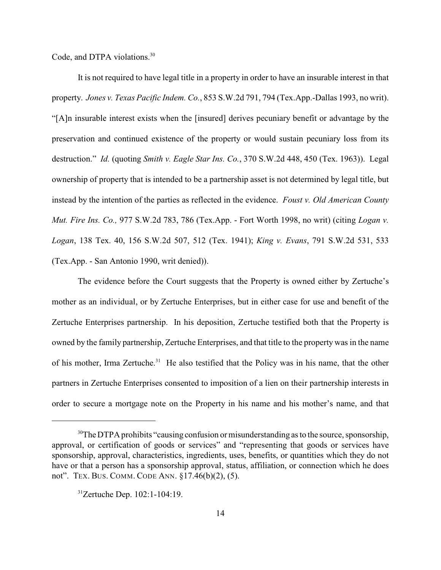Code, and DTPA violations.<sup>30</sup>

It is not required to have legal title in a property in order to have an insurable interest in that property. *Jones v. Texas Pacific Indem. Co.*, 853 S.W.2d 791, 794 (Tex.App.-Dallas 1993, no writ). "[A]n insurable interest exists when the [insured] derives pecuniary benefit or advantage by the preservation and continued existence of the property or would sustain pecuniary loss from its destruction." *Id.* (quoting *Smith v. Eagle Star Ins. Co.*, 370 S.W.2d 448, 450 (Tex. 1963)). Legal ownership of property that is intended to be a partnership asset is not determined by legal title, but instead by the intention of the parties as reflected in the evidence. *Foust v. Old American County Mut. Fire Ins. Co.,* 977 S.W.2d 783, 786 (Tex.App. - Fort Worth 1998, no writ) (citing *Logan v. Logan*, 138 Tex. 40, 156 S.W.2d 507, 512 (Tex. 1941); *King v. Evans*, 791 S.W.2d 531, 533 (Tex.App. - San Antonio 1990, writ denied)).

The evidence before the Court suggests that the Property is owned either by Zertuche's mother as an individual, or by Zertuche Enterprises, but in either case for use and benefit of the Zertuche Enterprises partnership. In his deposition, Zertuche testified both that the Property is owned by the family partnership, Zertuche Enterprises, and that title to the property was in the name of his mother, Irma Zertuche.<sup>31</sup> He also testified that the Policy was in his name, that the other partners in Zertuche Enterprises consented to imposition of a lien on their partnership interests in order to secure a mortgage note on the Property in his name and his mother's name, and that

 $30$ The DTPA prohibits "causing confusion or misunderstanding as to the source, sponsorship, approval, or certification of goods or services" and "representing that goods or services have sponsorship, approval, characteristics, ingredients, uses, benefits, or quantities which they do not have or that a person has a sponsorship approval, status, affiliation, or connection which he does not". TEX. BUS. COMM. CODE ANN. §17.46(b)(2), (5).

 $31$ Zertuche Dep. 102:1-104:19.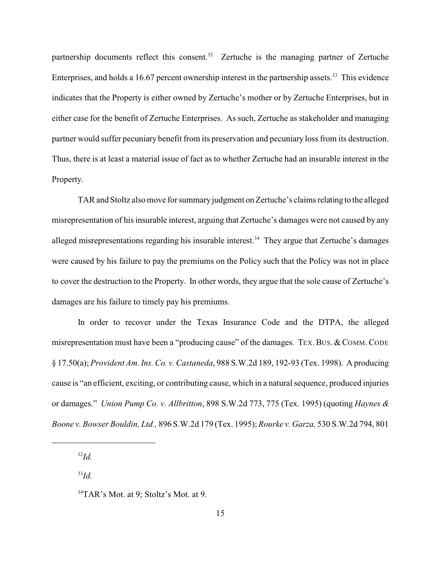partnership documents reflect this consent. $32$  Zertuche is the managing partner of Zertuche Enterprises, and holds a 16.67 percent ownership interest in the partnership assets.<sup>33</sup> This evidence indicates that the Property is either owned by Zertuche's mother or by Zertuche Enterprises, but in either case for the benefit of Zertuche Enterprises. As such, Zertuche as stakeholder and managing partner would suffer pecuniary benefit from its preservation and pecuniary loss from its destruction. Thus, there is at least a material issue of fact as to whether Zertuche had an insurable interest in the Property.

TAR and Stoltz also move for summary judgment on Zertuche's claims relating to the alleged misrepresentation of his insurable interest, arguing that Zertuche's damages were not caused by any alleged misrepresentations regarding his insurable interest.<sup>34</sup> They argue that Zertuche's damages were caused by his failure to pay the premiums on the Policy such that the Policy was not in place to cover the destruction to the Property. In other words, they argue that the sole cause of Zertuche's damages are his failure to timely pay his premiums.

In order to recover under the Texas Insurance Code and the DTPA, the alleged misrepresentation must have been a "producing cause" of the damages. TEX. BUS. & COMM. CODE § 17.50(a); *Provident Am. Ins. Co. v. Castaneda*, 988 S.W.2d 189, 192-93 (Tex. 1998). A producing cause is "an efficient, exciting, or contributing cause, which in a natural sequence, produced injuries or damages." *Union Pump Co. v. Allbritton*, 898 S.W.2d 773, 775 (Tex. 1995) (quoting *Haynes & Boone v. Bowser Bouldin, Ltd.,* 896 S.W.2d 179 (Tex. 1995); *Rourke v. Garza,* 530 S.W.2d 794, 801

 $^{32}Id$ 

 $^{33}Id.$ 

 $34$ TAR's Mot. at 9; Stoltz's Mot. at 9.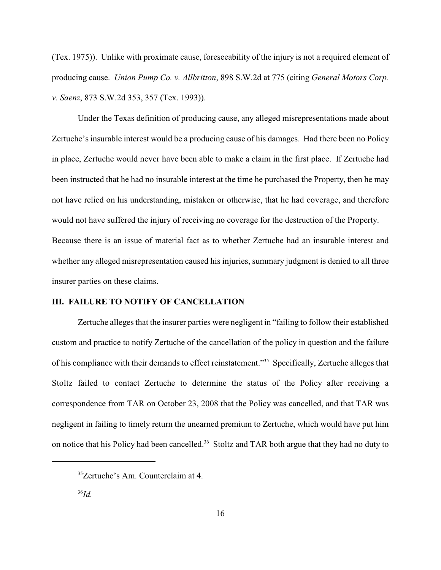(Tex. 1975)). Unlike with proximate cause, foreseeability of the injury is not a required element of producing cause. *Union Pump Co. v. Allbritton*, 898 S.W.2d at 775 (citing *General Motors Corp. v. Saenz*, 873 S.W.2d 353, 357 (Tex. 1993)).

Under the Texas definition of producing cause, any alleged misrepresentations made about Zertuche's insurable interest would be a producing cause of his damages. Had there been no Policy in place, Zertuche would never have been able to make a claim in the first place. If Zertuche had been instructed that he had no insurable interest at the time he purchased the Property, then he may not have relied on his understanding, mistaken or otherwise, that he had coverage, and therefore would not have suffered the injury of receiving no coverage for the destruction of the Property. Because there is an issue of material fact as to whether Zertuche had an insurable interest and whether any alleged misrepresentation caused his injuries, summary judgment is denied to all three insurer parties on these claims.

# **III. FAILURE TO NOTIFY OF CANCELLATION**

Zertuche alleges that the insurer parties were negligent in "failing to follow their established custom and practice to notify Zertuche of the cancellation of the policy in question and the failure of his compliance with their demands to effect reinstatement."<sup>35</sup> Specifically, Zertuche alleges that Stoltz failed to contact Zertuche to determine the status of the Policy after receiving a correspondence from TAR on October 23, 2008 that the Policy was cancelled, and that TAR was negligent in failing to timely return the unearned premium to Zertuche, which would have put him on notice that his Policy had been cancelled.<sup>36</sup> Stoltz and TAR both argue that they had no duty to

<sup>&</sup>lt;sup>35</sup>Zertuche's Am. Counterclaim at 4.

 $^{36}$ *Id.*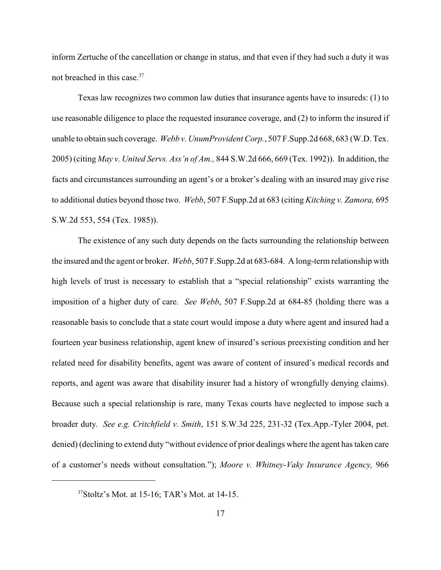inform Zertuche of the cancellation or change in status, and that even if they had such a duty it was not breached in this case.<sup>37</sup>

Texas law recognizes two common law duties that insurance agents have to insureds: (1) to use reasonable diligence to place the requested insurance coverage, and (2) to inform the insured if unable to obtain such coverage. *Webb v. UnumProvident Corp.*, 507 F.Supp.2d 668, 683 (W.D. Tex. 2005) (citing *May v. United Servs. Ass'n of Am.,* 844 S.W.2d 666, 669 (Tex. 1992)). In addition, the facts and circumstances surrounding an agent's or a broker's dealing with an insured may give rise to additional duties beyond those two. *Webb*, 507 F.Supp.2d at 683 (citing *Kitching v. Zamora,* 695 S.W.2d 553, 554 (Tex. 1985)).

The existence of any such duty depends on the facts surrounding the relationship between the insured and the agent or broker. *Webb*, 507 F.Supp.2d at 683-684. A long-term relationship with high levels of trust is necessary to establish that a "special relationship" exists warranting the imposition of a higher duty of care. *See Webb*, 507 F.Supp.2d at 684-85 (holding there was a reasonable basis to conclude that a state court would impose a duty where agent and insured had a fourteen year business relationship, agent knew of insured's serious preexisting condition and her related need for disability benefits, agent was aware of content of insured's medical records and reports, and agent was aware that disability insurer had a history of wrongfully denying claims). Because such a special relationship is rare, many Texas courts have neglected to impose such a broader duty. *See e.g. Critchfield v. Smith*, 151 S.W.3d 225, 231-32 (Tex.App.-Tyler 2004, pet. denied) (declining to extend duty "without evidence of prior dealings where the agent has taken care of a customer's needs without consultation."); *Moore v. Whitney-Vaky Insurance Agency,* 966

 $37$ Stoltz's Mot. at 15-16; TAR's Mot. at 14-15.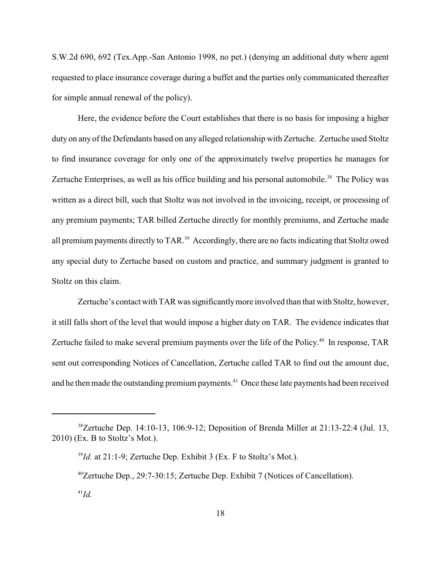S.W.2d 690, 692 (Tex.App.-San Antonio 1998, no pet.) (denying an additional duty where agent requested to place insurance coverage during a buffet and the parties only communicated thereafter for simple annual renewal of the policy).

Here, the evidence before the Court establishes that there is no basis for imposing a higher duty on any of the Defendants based on any alleged relationship with Zertuche. Zertuche used Stoltz to find insurance coverage for only one of the approximately twelve properties he manages for Zertuche Enterprises, as well as his office building and his personal automobile.<sup>38</sup> The Policy was written as a direct bill, such that Stoltz was not involved in the invoicing, receipt, or processing of any premium payments; TAR billed Zertuche directly for monthly premiums, and Zertuche made all premium payments directly to TAR.<sup>39</sup> Accordingly, there are no facts indicating that Stoltz owed any special duty to Zertuche based on custom and practice, and summary judgment is granted to Stoltz on this claim.

Zertuche's contact with TAR was significantly more involved than that with Stoltz, however, it still falls short of the level that would impose a higher duty on TAR. The evidence indicates that Zertuche failed to make several premium payments over the life of the Policy.<sup>40</sup> In response, TAR sent out corresponding Notices of Cancellation, Zertuche called TAR to find out the amount due, and he then made the outstanding premium payments.<sup>41</sup> Once these late payments had been received

 $38$ Zertuche Dep. 14:10-13, 106:9-12; Deposition of Brenda Miller at 21:13-22:4 (Jul. 13, 2010) (Ex. B to Stoltz's Mot.).

 $I<sup>39</sup>Id$ . at 21:1-9; Zertuche Dep. Exhibit 3 (Ex. F to Stoltz's Mot.).

 $^{40}$ Zertuche Dep., 29:7-30:15; Zertuche Dep. Exhibit 7 (Notices of Cancellation).

 $^{41}Id.$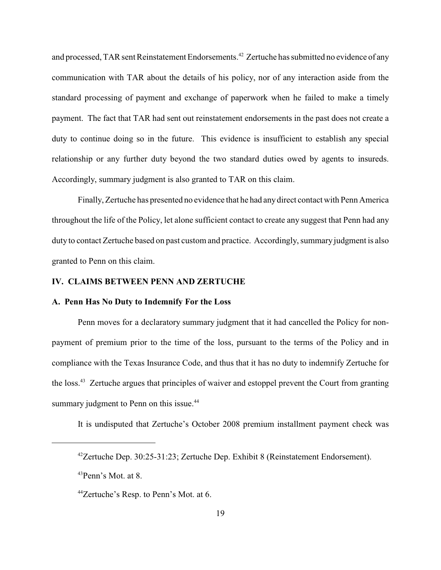and processed, TAR sent Reinstatement Endorsements.<sup>42</sup> Zertuche has submitted no evidence of any communication with TAR about the details of his policy, nor of any interaction aside from the standard processing of payment and exchange of paperwork when he failed to make a timely payment. The fact that TAR had sent out reinstatement endorsements in the past does not create a duty to continue doing so in the future. This evidence is insufficient to establish any special relationship or any further duty beyond the two standard duties owed by agents to insureds. Accordingly, summary judgment is also granted to TAR on this claim.

Finally, Zertuche has presented no evidence that he had any direct contact with Penn America throughout the life of the Policy, let alone sufficient contact to create any suggest that Penn had any duty to contact Zertuche based on past custom and practice. Accordingly, summary judgment is also granted to Penn on this claim.

### **IV. CLAIMS BETWEEN PENN AND ZERTUCHE**

#### **A. Penn Has No Duty to Indemnify For the Loss**

Penn moves for a declaratory summary judgment that it had cancelled the Policy for nonpayment of premium prior to the time of the loss, pursuant to the terms of the Policy and in compliance with the Texas Insurance Code, and thus that it has no duty to indemnify Zertuche for the loss.<sup>43</sup> Zertuche argues that principles of waiver and estoppel prevent the Court from granting summary judgment to Penn on this issue.<sup>44</sup>

It is undisputed that Zertuche's October 2008 premium installment payment check was

 $42$ Zertuche Dep. 30:25-31:23; Zertuche Dep. Exhibit 8 (Reinstatement Endorsement).

 $^{43}$ Penn's Mot. at 8.

 $^{44}$ Zertuche's Resp. to Penn's Mot. at 6.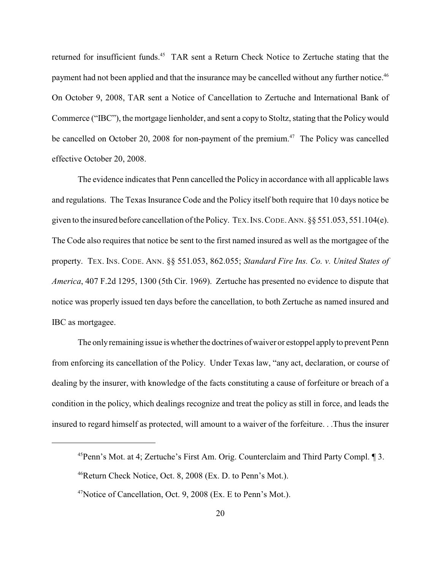returned for insufficient funds.<sup>45</sup> TAR sent a Return Check Notice to Zertuche stating that the payment had not been applied and that the insurance may be cancelled without any further notice.<sup>46</sup> On October 9, 2008, TAR sent a Notice of Cancellation to Zertuche and International Bank of Commerce ("IBC"), the mortgage lienholder, and sent a copy to Stoltz, stating that the Policy would be cancelled on October 20, 2008 for non-payment of the premium.<sup> $47$ </sup> The Policy was cancelled effective October 20, 2008.

The evidence indicates that Penn cancelled the Policy in accordance with all applicable laws and regulations. The Texas Insurance Code and the Policy itself both require that 10 days notice be given to the insured before cancellation of the Policy. TEX.INS.CODE.ANN. §§ 551.053, 551.104(e). The Code also requires that notice be sent to the first named insured as well as the mortgagee of the property. TEX. INS. CODE. ANN. §§ 551.053, 862.055; *Standard Fire Ins. Co. v. United States of America*, 407 F.2d 1295, 1300 (5th Cir. 1969). Zertuche has presented no evidence to dispute that notice was properly issued ten days before the cancellation, to both Zertuche as named insured and IBC as mortgagee.

The only remaining issue is whether the doctrines of waiver or estoppel apply to prevent Penn from enforcing its cancellation of the Policy. Under Texas law, "any act, declaration, or course of dealing by the insurer, with knowledge of the facts constituting a cause of forfeiture or breach of a condition in the policy, which dealings recognize and treat the policy as still in force, and leads the insured to regard himself as protected, will amount to a waiver of the forfeiture. . .Thus the insurer

 $^{45}$ Penn's Mot. at 4; Zertuche's First Am. Orig. Counterclaim and Third Party Compl.  $\sqrt{\phantom{a}}$  3.

 $46$ Return Check Notice, Oct. 8, 2008 (Ex. D. to Penn's Mot.).

 $47$ Notice of Cancellation, Oct. 9, 2008 (Ex. E to Penn's Mot.).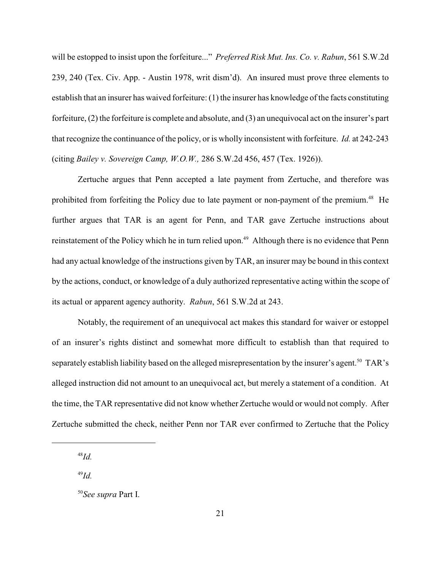will be estopped to insist upon the forfeiture..." *Preferred Risk Mut. Ins. Co. v. Rabun*, 561 S.W.2d 239, 240 (Tex. Civ. App. - Austin 1978, writ dism'd). An insured must prove three elements to establish that an insurer has waived forfeiture: (1) the insurer has knowledge of the facts constituting forfeiture, (2) the forfeiture is complete and absolute, and (3) an unequivocal act on the insurer's part that recognize the continuance of the policy, or is wholly inconsistent with forfeiture. *Id.* at 242-243 (citing *Bailey v. Sovereign Camp, W.O.W.,* 286 S.W.2d 456, 457 (Tex. 1926)).

Zertuche argues that Penn accepted a late payment from Zertuche, and therefore was prohibited from forfeiting the Policy due to late payment or non-payment of the premium.<sup>48</sup> He further argues that TAR is an agent for Penn, and TAR gave Zertuche instructions about reinstatement of the Policy which he in turn relied upon.<sup>49</sup> Although there is no evidence that Penn had any actual knowledge of the instructions given by TAR, an insurer may be bound in this context by the actions, conduct, or knowledge of a duly authorized representative acting within the scope of its actual or apparent agency authority. *Rabun*, 561 S.W.2d at 243.

Notably, the requirement of an unequivocal act makes this standard for waiver or estoppel of an insurer's rights distinct and somewhat more difficult to establish than that required to separately establish liability based on the alleged misrepresentation by the insurer's agent.<sup>50</sup> TAR's alleged instruction did not amount to an unequivocal act, but merely a statement of a condition. At the time, the TAR representative did not know whether Zertuche would or would not comply. After Zertuche submitted the check, neither Penn nor TAR ever confirmed to Zertuche that the Policy

 $^{48}$ *Id.* 

 $^{49}$ *Id.* 

<sup>&</sup>lt;sup>50</sup>See supra Part I.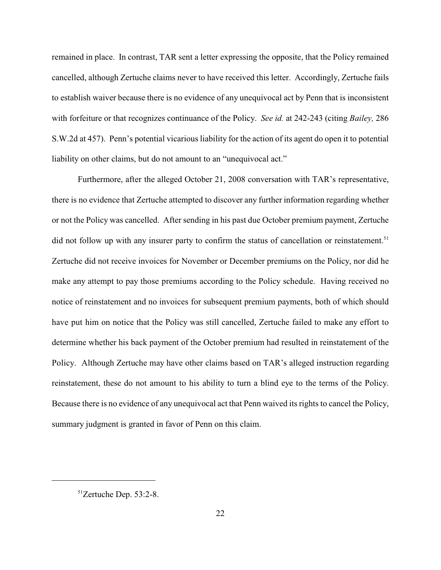remained in place. In contrast, TAR sent a letter expressing the opposite, that the Policy remained cancelled, although Zertuche claims never to have received this letter. Accordingly, Zertuche fails to establish waiver because there is no evidence of any unequivocal act by Penn that is inconsistent with forfeiture or that recognizes continuance of the Policy. *See id.* at 242-243 (citing *Bailey,* 286 S.W.2d at 457). Penn's potential vicarious liability for the action of its agent do open it to potential liability on other claims, but do not amount to an "unequivocal act."

Furthermore, after the alleged October 21, 2008 conversation with TAR's representative, there is no evidence that Zertuche attempted to discover any further information regarding whether or not the Policy was cancelled. After sending in his past due October premium payment, Zertuche did not follow up with any insurer party to confirm the status of cancellation or reinstatement.<sup>51</sup> Zertuche did not receive invoices for November or December premiums on the Policy, nor did he make any attempt to pay those premiums according to the Policy schedule. Having received no notice of reinstatement and no invoices for subsequent premium payments, both of which should have put him on notice that the Policy was still cancelled, Zertuche failed to make any effort to determine whether his back payment of the October premium had resulted in reinstatement of the Policy. Although Zertuche may have other claims based on TAR's alleged instruction regarding reinstatement, these do not amount to his ability to turn a blind eye to the terms of the Policy. Because there is no evidence of any unequivocal act that Penn waived its rights to cancel the Policy, summary judgment is granted in favor of Penn on this claim.

 $51$ Zertuche Dep. 53:2-8.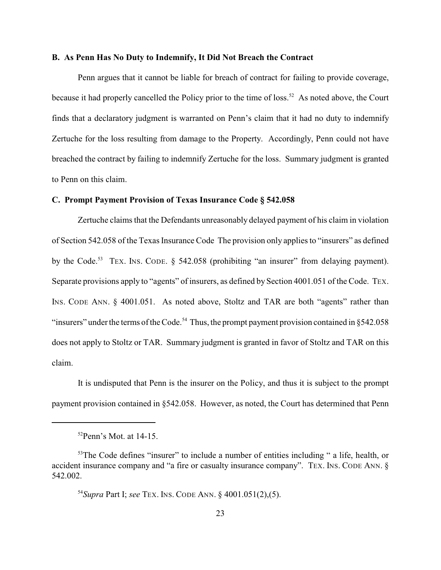#### **B. As Penn Has No Duty to Indemnify, It Did Not Breach the Contract**

Penn argues that it cannot be liable for breach of contract for failing to provide coverage, because it had properly cancelled the Policy prior to the time of loss.<sup>52</sup> As noted above, the Court finds that a declaratory judgment is warranted on Penn's claim that it had no duty to indemnify Zertuche for the loss resulting from damage to the Property. Accordingly, Penn could not have breached the contract by failing to indemnify Zertuche for the loss. Summary judgment is granted to Penn on this claim.

#### **C. Prompt Payment Provision of Texas Insurance Code § 542.058**

Zertuche claims that the Defendants unreasonably delayed payment of his claim in violation of Section 542.058 of the Texas Insurance Code The provision only applies to "insurers" as defined by the Code.<sup>53</sup> TEX. INS. CODE.  $\S$  542.058 (prohibiting "an insurer" from delaying payment). Separate provisions apply to "agents" of insurers, as defined by Section 4001.051 of the Code. TEX. INS. CODE ANN. § 4001.051. As noted above, Stoltz and TAR are both "agents" rather than "insurers" under the terms of the Code.<sup>54</sup> Thus, the prompt payment provision contained in  $\S 542.058$ does not apply to Stoltz or TAR. Summary judgment is granted in favor of Stoltz and TAR on this claim.

It is undisputed that Penn is the insurer on the Policy, and thus it is subject to the prompt payment provision contained in §542.058. However, as noted, the Court has determined that Penn

 $52$ Penn's Mot. at 14-15.

 $53$ The Code defines "insurer" to include a number of entities including " a life, health, or accident insurance company and "a fire or casualty insurance company". TEX. INS. CODE ANN. § 542.002.

<sup>&</sup>lt;sup>54</sup> Supra Part I; *see* TEX. INS. CODE ANN. § 4001.051(2),(5).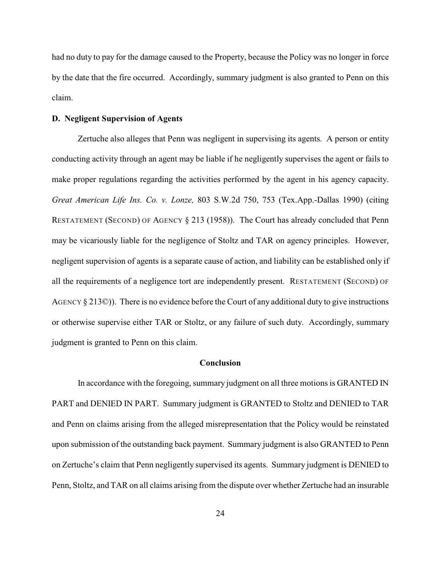had no duty to pay for the damage caused to the Property, because the Policy was no longer in force by the date that the fire occurred. Accordingly, summary judgment is also granted to Penn on this claim.

# **D. Negligent Supervision of Agents**

Zertuche also alleges that Penn was negligent in supervising its agents. A person or entity conducting activity through an agent may be liable if he negligently supervises the agent or fails to make proper regulations regarding the activities performed by the agent in his agency capacity. *Great American Life Ins. Co. v. Lonze,* 803 S.W.2d 750, 753 (Tex.App.-Dallas 1990) (citing RESTATEMENT (SECOND) OF AGENCY § 213 (1958)). The Court has already concluded that Penn may be vicariously liable for the negligence of Stoltz and TAR on agency principles. However, negligent supervision of agents is a separate cause of action, and liability can be established only if all the requirements of a negligence tort are independently present. RESTATEMENT (SECOND) OF AGENCY § 213©)). There is no evidence before the Court of any additional duty to give instructions or otherwise supervise either TAR or Stoltz, or any failure of such duty. Accordingly, summary judgment is granted to Penn on this claim.

#### **Conclusion**

In accordance with the foregoing, summary judgment on all three motions is GRANTED IN PART and DENIED IN PART. Summary judgment is GRANTED to Stoltz and DENIED to TAR and Penn on claims arising from the alleged misrepresentation that the Policy would be reinstated upon submission of the outstanding back payment. Summary judgment is also GRANTED to Penn on Zertuche's claim that Penn negligently supervised its agents. Summary judgment is DENIED to Penn, Stoltz, and TAR on all claims arising from the dispute over whether Zertuche had an insurable